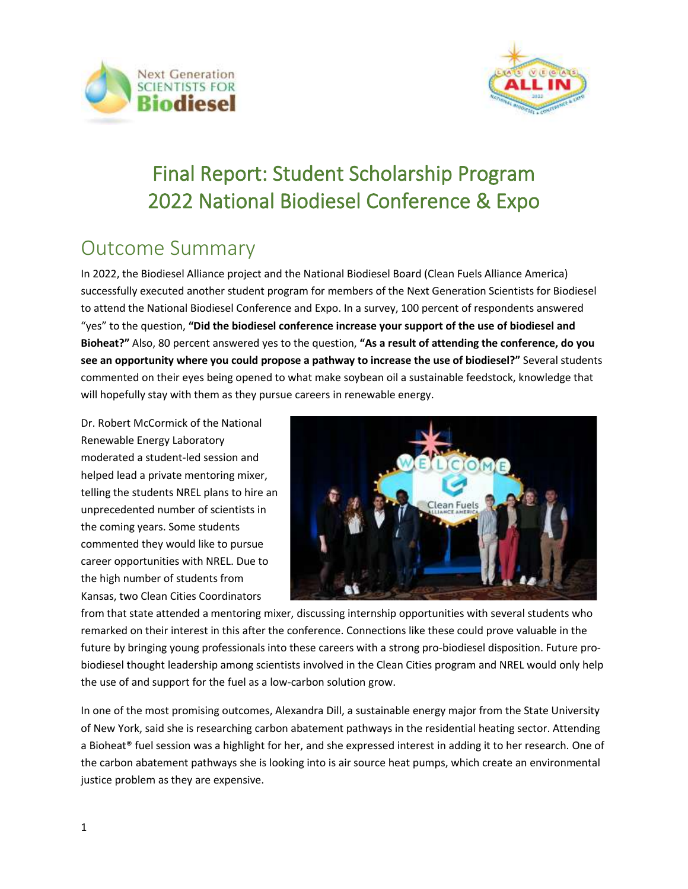



# Final Report: Student Scholarship Program 2022 National Biodiesel Conference & Expo

### Outcome Summary

In 2022, the Biodiesel Alliance project and the National Biodiesel Board (Clean Fuels Alliance America) successfully executed another student program for members of the Next Generation Scientists for Biodiesel to attend the National Biodiesel Conference and Expo. In a survey, 100 percent of respondents answered "yes" to the question, **"Did the biodiesel conference increase your support of the use of biodiesel and Bioheat?"** Also, 80 percent answered yes to the question, **"As a result of attending the conference, do you see an opportunity where you could propose a pathway to increase the use of biodiesel?"** Several students commented on their eyes being opened to what make soybean oil a sustainable feedstock, knowledge that will hopefully stay with them as they pursue careers in renewable energy.

Dr. Robert McCormick of the National Renewable Energy Laboratory moderated a student-led session and helped lead a private mentoring mixer, telling the students NREL plans to hire an unprecedented number of scientists in the coming years. Some students commented they would like to pursue career opportunities with NREL. Due to the high number of students from Kansas, two Clean Cities Coordinators



from that state attended a mentoring mixer, discussing internship opportunities with several students who remarked on their interest in this after the conference. Connections like these could prove valuable in the future by bringing young professionals into these careers with a strong pro-biodiesel disposition. Future probiodiesel thought leadership among scientists involved in the Clean Cities program and NREL would only help the use of and support for the fuel as a low-carbon solution grow.

In one of the most promising outcomes, Alexandra Dill, a sustainable energy major from the State University of New York, said she is researching carbon abatement pathways in the residential heating sector. Attending a Bioheat® fuel session was a highlight for her, and she expressed interest in adding it to her research. One of the carbon abatement pathways she is looking into is air source heat pumps, which create an environmental justice problem as they are expensive.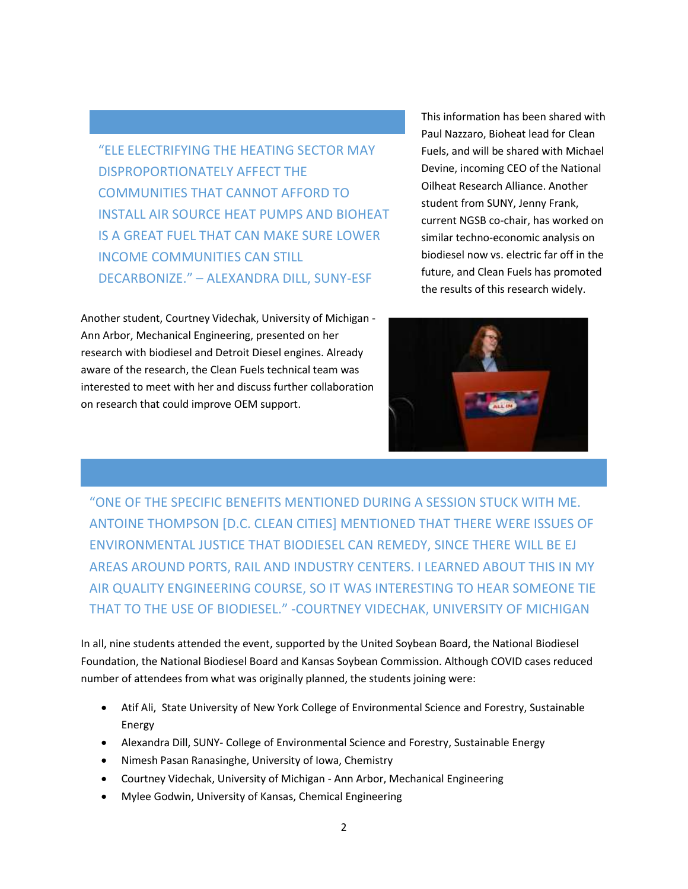"ELE ELECTRIFYING THE HEATING SECTOR MAY DISPROPORTIONATELY AFFECT THE COMMUNITIES THAT CANNOT AFFORD TO INSTALL AIR SOURCE HEAT PUMPS AND BIOHEAT IS A GREAT FUEL THAT CAN MAKE SURE LOWER INCOME COMMUNITIES CAN STILL DECARBONIZE." – ALEXANDRA DILL, SUNY-ESF

Another student, Courtney Videchak, University of Michigan - Ann Arbor, Mechanical Engineering, presented on her research with biodiesel and Detroit Diesel engines. Already aware of the research, the Clean Fuels technical team was interested to meet with her and discuss further collaboration on research that could improve OEM support.

This information has been shared with Paul Nazzaro, Bioheat lead for Clean Fuels, and will be shared with Michael Devine, incoming CEO of the National Oilheat Research Alliance. Another student from SUNY, Jenny Frank, current NGSB co-chair, has worked on similar techno-economic analysis on biodiesel now vs. electric far off in the future, and Clean Fuels has promoted the results of this research widely.



"ONE OF THE SPECIFIC BENEFITS MENTIONED DURING A SESSION STUCK WITH ME. ANTOINE THOMPSON [D.C. CLEAN CITIES] MENTIONED THAT THERE WERE ISSUES OF ENVIRONMENTAL JUSTICE THAT BIODIESEL CAN REMEDY, SINCE THERE WILL BE EJ AREAS AROUND PORTS, RAIL AND INDUSTRY CENTERS. I LEARNED ABOUT THIS IN MY AIR QUALITY ENGINEERING COURSE, SO IT WAS INTERESTING TO HEAR SOMEONE TIE THAT TO THE USE OF BIODIESEL." -COURTNEY VIDECHAK, UNIVERSITY OF MICHIGAN

In all, nine students attended the event, supported by the United Soybean Board, the National Biodiesel Foundation, the National Biodiesel Board and Kansas Soybean Commission. Although COVID cases reduced number of attendees from what was originally planned, the students joining were:

- Atif Ali, State University of New York College of Environmental Science and Forestry, Sustainable Energy
- Alexandra Dill, SUNY- College of Environmental Science and Forestry, Sustainable Energy
- Nimesh Pasan Ranasinghe, University of Iowa, Chemistry
- Courtney Videchak, University of Michigan Ann Arbor, Mechanical Engineering
- Mylee Godwin, University of Kansas, Chemical Engineering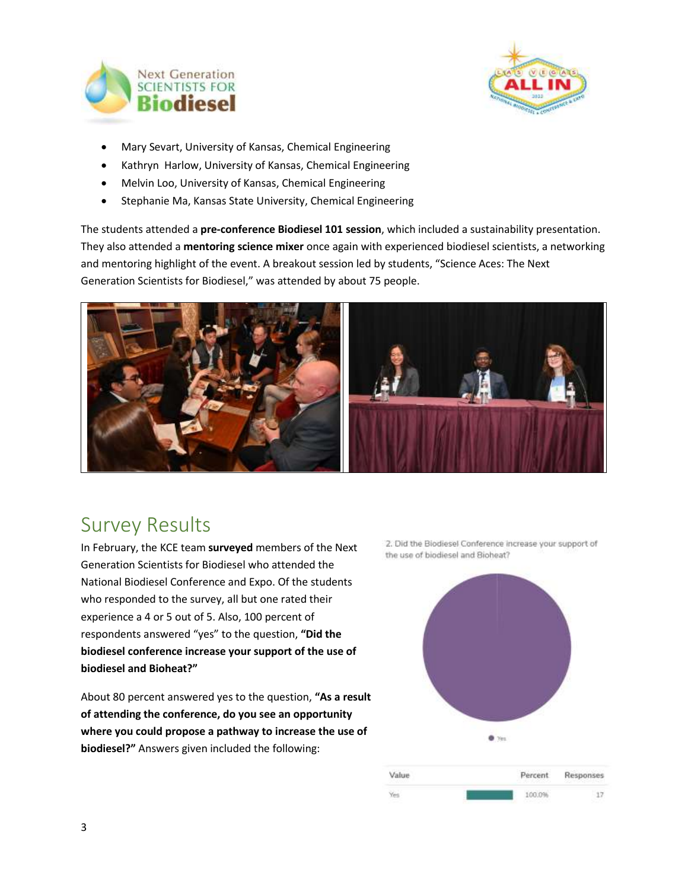



- Mary Sevart, University of Kansas, Chemical Engineering
- Kathryn Harlow, University of Kansas, Chemical Engineering
- Melvin Loo, University of Kansas, Chemical Engineering
- Stephanie Ma, Kansas State University, Chemical Engineering

The students attended a **pre-conference Biodiesel 101 session**, which included a sustainability presentation. They also attended a **mentoring science mixer** once again with experienced biodiesel scientists, a networking and mentoring highlight of the event. A breakout session led by students, "Science Aces: The Next Generation Scientists for Biodiesel," was attended by about 75 people.



### Survey Results

In February, the KCE team **surveyed** members of the Next Generation Scientists for Biodiesel who attended the National Biodiesel Conference and Expo. Of the students who responded to the survey, all but one rated their experience a 4 or 5 out of 5. Also, 100 percent of respondents answered "yes" to the question, **"Did the biodiesel conference increase your support of the use of biodiesel and Bioheat?"**

About 80 percent answered yes to the question, **"As a result of attending the conference, do you see an opportunity where you could propose a pathway to increase the use of biodiesel?"** Answers given included the following:



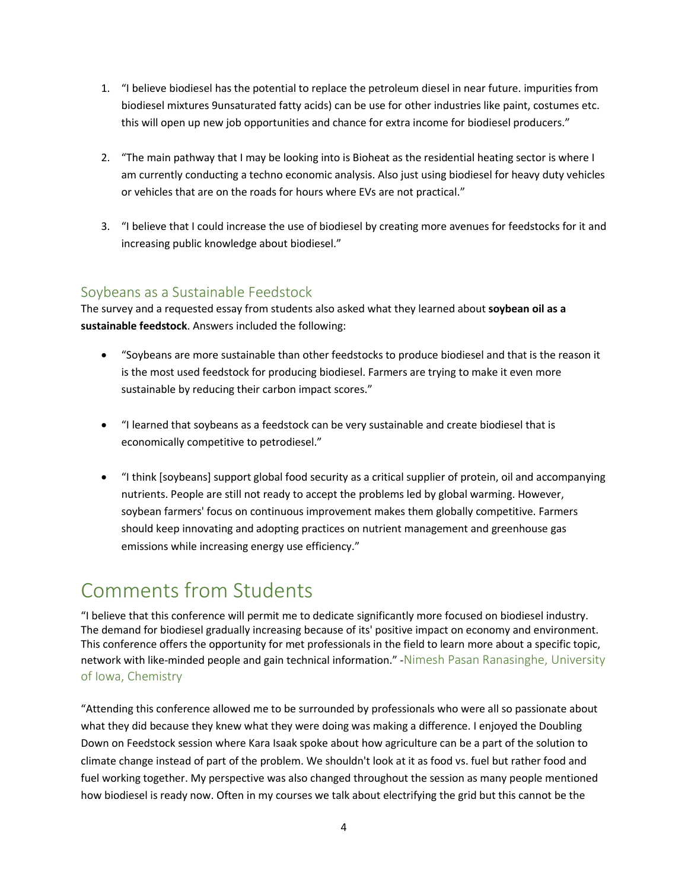- 1. "I believe biodiesel has the potential to replace the petroleum diesel in near future. impurities from biodiesel mixtures 9unsaturated fatty acids) can be use for other industries like paint, costumes etc. this will open up new job opportunities and chance for extra income for biodiesel producers."
- 2. "The main pathway that I may be looking into is Bioheat as the residential heating sector is where I am currently conducting a techno economic analysis. Also just using biodiesel for heavy duty vehicles or vehicles that are on the roads for hours where EVs are not practical."
- 3. "I believe that I could increase the use of biodiesel by creating more avenues for feedstocks for it and increasing public knowledge about biodiesel."

#### Soybeans as a Sustainable Feedstock

The survey and a requested essay from students also asked what they learned about **soybean oil as a sustainable feedstock**. Answers included the following:

- "Soybeans are more sustainable than other feedstocks to produce biodiesel and that is the reason it is the most used feedstock for producing biodiesel. Farmers are trying to make it even more sustainable by reducing their carbon impact scores."
- "I learned that soybeans as a feedstock can be very sustainable and create biodiesel that is economically competitive to petrodiesel."
- "I think [soybeans] support global food security as a critical supplier of protein, oil and accompanying nutrients. People are still not ready to accept the problems led by global warming. However, soybean farmers' focus on continuous improvement makes them globally competitive. Farmers should keep innovating and adopting practices on nutrient management and greenhouse gas emissions while increasing energy use efficiency."

## Comments from Students

"I believe that this conference will permit me to dedicate significantly more focused on biodiesel industry. The demand for biodiesel gradually increasing because of its' positive impact on economy and environment. This conference offers the opportunity for met professionals in the field to learn more about a specific topic, network with like-minded people and gain technical information." -Nimesh Pasan Ranasinghe, University of Iowa, Chemistry

"Attending this conference allowed me to be surrounded by professionals who were all so passionate about what they did because they knew what they were doing was making a difference. I enjoyed the Doubling Down on Feedstock session where Kara Isaak spoke about how agriculture can be a part of the solution to climate change instead of part of the problem. We shouldn't look at it as food vs. fuel but rather food and fuel working together. My perspective was also changed throughout the session as many people mentioned how biodiesel is ready now. Often in my courses we talk about electrifying the grid but this cannot be the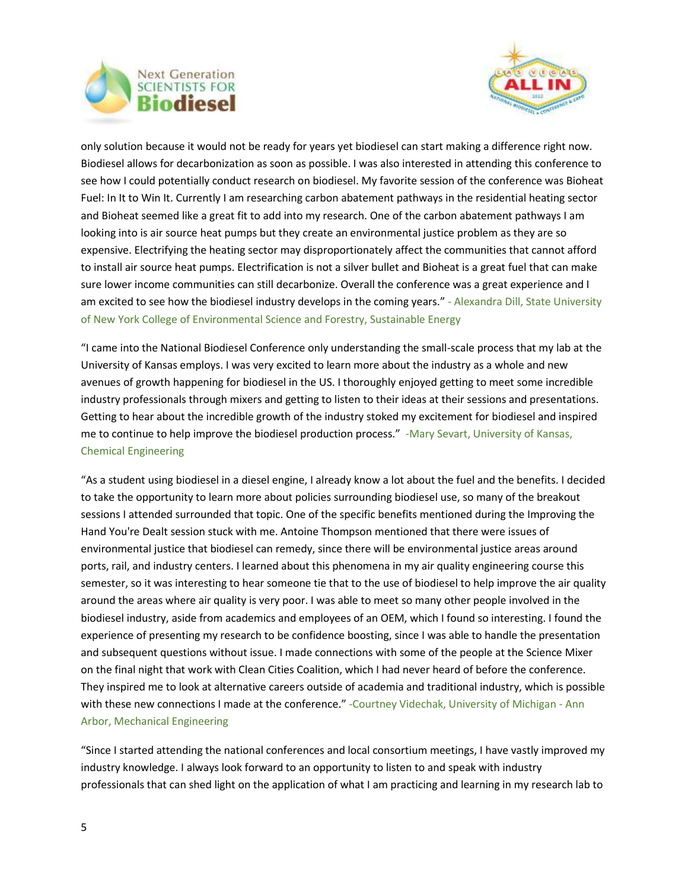



only solution because it would not be ready for years yet biodiesel can start making a difference right now. Biodiesel allows for decarbonization as soon as possible. I was also interested in attending this conference to see how I could potentially conduct research on biodiesel. My favorite session of the conference was Bioheat Fuel: In It to Win It. Currently I am researching carbon abatement pathways in the residential heating sector and Bioheat seemed like a great fit to add into my research. One of the carbon abatement pathways I am looking into is air source heat pumps but they create an environmental justice problem as they are so expensive. Electrifying the heating sector may disproportionately affect the communities that cannot afford to install air source heat pumps. Electrification is not a silver bullet and Bioheat is a great fuel that can make sure lower income communities can still decarbonize. Overall the conference was a great experience and I am excited to see how the biodiesel industry develops in the coming years." - Alexandra Dill, State University of New York College of Environmental Science and Forestry, Sustainable Energy

"I came into the National Biodiesel Conference only understanding the small-scale process that my lab at the University of Kansas employs. I was very excited to learn more about the industry as a whole and new avenues of growth happening for biodiesel in the US. I thoroughly enjoyed getting to meet some incredible industry professionals through mixers and getting to listen to their ideas at their sessions and presentations. Getting to hear about the incredible growth of the industry stoked my excitement for biodiesel and inspired me to continue to help improve the biodiesel production process." -Mary Sevart, University of Kansas, Chemical Engineering

"As a student using biodiesel in a diesel engine, I already know a lot about the fuel and the benefits. I decided to take the opportunity to learn more about policies surrounding biodiesel use, so many of the breakout sessions I attended surrounded that topic. One of the specific benefits mentioned during the Improving the Hand You're Dealt session stuck with me. Antoine Thompson mentioned that there were issues of environmental justice that biodiesel can remedy, since there will be environmental justice areas around ports, rail, and industry centers. I learned about this phenomena in my air quality engineering course this semester, so it was interesting to hear someone tie that to the use of biodiesel to help improve the air quality around the areas where air quality is very poor. I was able to meet so many other people involved in the biodiesel industry, aside from academics and employees of an OEM, which I found so interesting. I found the experience of presenting my research to be confidence boosting, since I was able to handle the presentation and subsequent questions without issue. I made connections with some of the people at the Science Mixer on the final night that work with Clean Cities Coalition, which I had never heard of before the conference. They inspired me to look at alternative careers outside of academia and traditional industry, which is possible with these new connections I made at the conference." -Courtney Videchak, University of Michigan - Ann Arbor, Mechanical Engineering

"Since I started attending the national conferences and local consortium meetings, I have vastly improved my industry knowledge. I always look forward to an opportunity to listen to and speak with industry professionals that can shed light on the application of what I am practicing and learning in my research lab to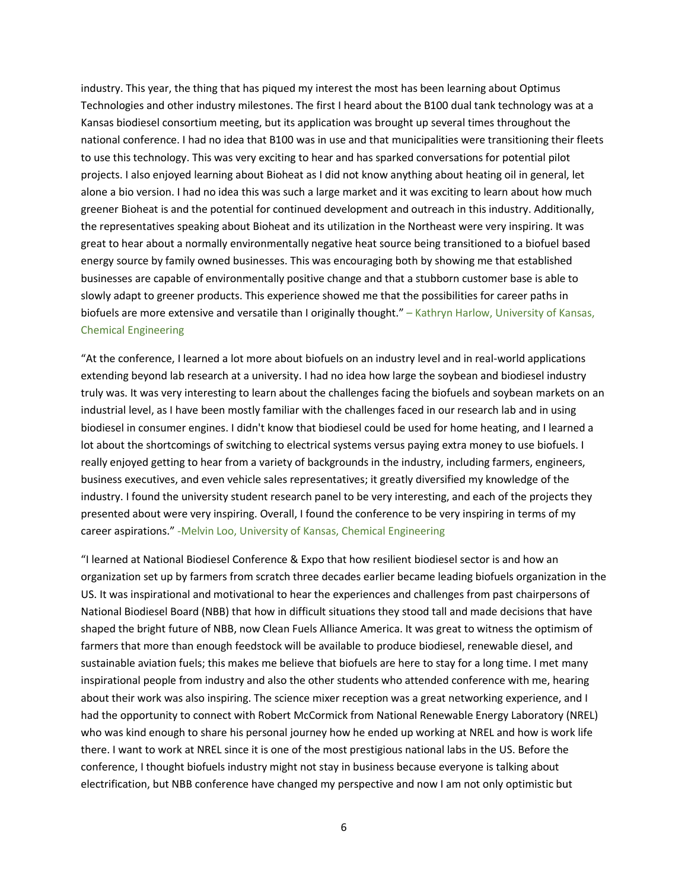industry. This year, the thing that has piqued my interest the most has been learning about Optimus Technologies and other industry milestones. The first I heard about the B100 dual tank technology was at a Kansas biodiesel consortium meeting, but its application was brought up several times throughout the national conference. I had no idea that B100 was in use and that municipalities were transitioning their fleets to use this technology. This was very exciting to hear and has sparked conversations for potential pilot projects. I also enjoyed learning about Bioheat as I did not know anything about heating oil in general, let alone a bio version. I had no idea this was such a large market and it was exciting to learn about how much greener Bioheat is and the potential for continued development and outreach in this industry. Additionally, the representatives speaking about Bioheat and its utilization in the Northeast were very inspiring. It was great to hear about a normally environmentally negative heat source being transitioned to a biofuel based energy source by family owned businesses. This was encouraging both by showing me that established businesses are capable of environmentally positive change and that a stubborn customer base is able to slowly adapt to greener products. This experience showed me that the possibilities for career paths in biofuels are more extensive and versatile than I originally thought." – Kathryn Harlow, University of Kansas, Chemical Engineering

"At the conference, I learned a lot more about biofuels on an industry level and in real-world applications extending beyond lab research at a university. I had no idea how large the soybean and biodiesel industry truly was. It was very interesting to learn about the challenges facing the biofuels and soybean markets on an industrial level, as I have been mostly familiar with the challenges faced in our research lab and in using biodiesel in consumer engines. I didn't know that biodiesel could be used for home heating, and I learned a lot about the shortcomings of switching to electrical systems versus paying extra money to use biofuels. I really enjoyed getting to hear from a variety of backgrounds in the industry, including farmers, engineers, business executives, and even vehicle sales representatives; it greatly diversified my knowledge of the industry. I found the university student research panel to be very interesting, and each of the projects they presented about were very inspiring. Overall, I found the conference to be very inspiring in terms of my career aspirations." -Melvin Loo, University of Kansas, Chemical Engineering

"I learned at National Biodiesel Conference & Expo that how resilient biodiesel sector is and how an organization set up by farmers from scratch three decades earlier became leading biofuels organization in the US. It was inspirational and motivational to hear the experiences and challenges from past chairpersons of National Biodiesel Board (NBB) that how in difficult situations they stood tall and made decisions that have shaped the bright future of NBB, now Clean Fuels Alliance America. It was great to witness the optimism of farmers that more than enough feedstock will be available to produce biodiesel, renewable diesel, and sustainable aviation fuels; this makes me believe that biofuels are here to stay for a long time. I met many inspirational people from industry and also the other students who attended conference with me, hearing about their work was also inspiring. The science mixer reception was a great networking experience, and I had the opportunity to connect with Robert McCormick from National Renewable Energy Laboratory (NREL) who was kind enough to share his personal journey how he ended up working at NREL and how is work life there. I want to work at NREL since it is one of the most prestigious national labs in the US. Before the conference, I thought biofuels industry might not stay in business because everyone is talking about electrification, but NBB conference have changed my perspective and now I am not only optimistic but